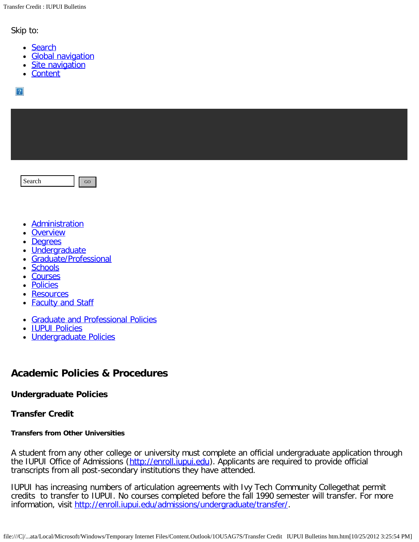Skip to:

- [Search](http://www.iupui.edu/~bulletin/iupui/2012-2014/policies/undergraduate/transfer.shtml#skip1)
- [Global navigation](http://www.iupui.edu/~bulletin/iupui/2012-2014/policies/undergraduate/transfer.shtml#skip2)
- [Site navigation](http://www.iupui.edu/~bulletin/iupui/2012-2014/policies/undergraduate/transfer.shtml#skip3)
- [Content](http://www.iupui.edu/~bulletin/iupui/2012-2014/policies/undergraduate/transfer.shtml#skip3)

 $|2|$ 

Search GO

- [Administration](http://www.iupui.edu/~bulletin/iupui/2012-2014/administration/index.shtml)
- **[Overview](http://www.iupui.edu/~bulletin/iupui/2012-2014/overview/index.shtml)**
- **[Degrees](http://www.iupui.edu/~bulletin/iupui/2012-2014/degrees/index.shtml)**
- · [Undergraduate](http://www.iupui.edu/~bulletin/iupui/2012-2014/undergraduate/index.shtml)
- [Graduate/Professional](http://www.iupui.edu/~bulletin/iupui/2012-2014/graduate/index.shtml)
- **[Schools](http://www.iupui.edu/~bulletin/iupui/2012-2014/schools/index.shtml)**
- **[Courses](http://www.iupui.edu/~bulletin/iupui/2012-2014/courses/index.shtml)**
- **[Policies](http://www.iupui.edu/~bulletin/iupui/2012-2014/policies/index.shtml)**
- **[Resources](http://www.iupui.edu/~bulletin/iupui/2012-2014/resources/index.shtml)**
- **[Faculty and Staff](http://www.iupui.edu/~bulletin/iupui/2012-2014/faculty-staff/index.shtml)**
- [Graduate and Professional Policies](http://www.iupui.edu/~bulletin/iupui/2012-2014/policies/graduate-professional/index.shtml)
- [IUPUI Policies](http://www.iupui.edu/~bulletin/iupui/2012-2014/policies/iupui/index.shtml)
- [Undergraduate Policies](http://www.iupui.edu/~bulletin/iupui/2012-2014/policies/undergraduate/index.shtml)

# **Academic Policies & Procedures**

## **Undergraduate Policies**

## **Transfer Credit**

## **Transfers from Other Universities**

A student from any other college or university must complete an official undergraduate application through the IUPUI Office of Admissions ([http://enroll.iupui.edu](http://enroll.iupui.edu/)). Applicants are required to provide official transcripts from all post-secondary institutions they have attended.

IUPUI has increasing numbers of articulation agreements with Ivy Tech Community Collegethat permit credits to transfer to IUPUI. No courses completed before the fall 1990 semester will transfer. For more information, visit<http://enroll.iupui.edu/admissions/undergraduate/transfer/>.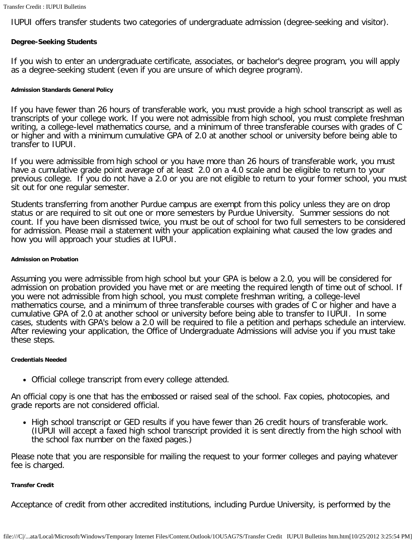IUPUI offers transfer students two categories of undergraduate admission (degree-seeking and visitor).

## **Degree-Seeking Students**

If you wish to enter an undergraduate certificate, associates, or bachelor's degree program, you will apply as a degree-seeking student (even if you are unsure of which degree program).

#### **Admission Standards General Policy**

If you have fewer than 26 hours of transferable work, you must provide a high school transcript as well as transcripts of your college work. If you were not admissible from high school, you must complete freshman writing, a college-level mathematics course, and a minimum of three transferable courses with grades of C or higher and with a minimum cumulative GPA of 2.0 at another school or university before being able to transfer to IUPUI.

If you were admissible from high school or you have more than 26 hours of transferable work, you must have a cumulative grade point average of at least 2.0 on a 4.0 scale and be eligible to return to your previous college. If you do not have a 2.0 or you are not eligible to return to your former school, you must sit out for one regular semester.

Students transferring from another Purdue campus are exempt from this policy unless they are on drop status or are required to sit out one or more semesters by Purdue University. Summer sessions do not count. If you have been dismissed twice, you must be out of school for two full semesters to be considered for admission. Please mail a statement with your application explaining what caused the low grades and how you will approach your studies at IUPUI.

#### **Admission on Probation**

Assuming you were admissible from high school but your GPA is below a 2.0, you will be considered for admission on probation provided you have met or are meeting the required length of time out of school. If you were not admissible from high school, you must complete freshman writing, a college-level mathematics course, and a minimum of three transferable courses with grades of C or higher and have a cumulative GPA of 2.0 at another school or university before being able to transfer to IUPUI. In some cases, students with GPA's below a 2.0 will be required to file a petition and perhaps schedule an interview. After reviewing your application, the Office of Undergraduate Admissions will advise you if you must take these steps.

#### **Credentials Needed**

Official college transcript from every college attended.

An official copy is one that has the embossed or raised seal of the school. Fax copies, photocopies, and grade reports are not considered official.

• High school transcript or GED results if you have fewer than 26 credit hours of transferable work. (IUPUI will accept a faxed high school transcript provided it is sent directly from the high school with the school fax number on the faxed pages.)

Please note that you are responsible for mailing the request to your former colleges and paying whatever fee is charged.

#### **Transfer Credit**

Acceptance of credit from other accredited institutions, including Purdue University, is performed by the